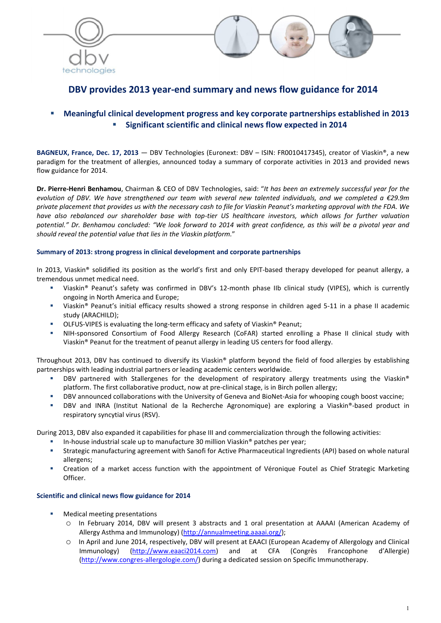



# DBV provides 2013 year-end summary and news flow guidance for 2014

# Meaningful clinical development progress and key corporate partnerships established in 2013 Significant scientific and clinical news flow expected in 2014

BAGNEUX, France, Dec. 17, 2013 — DBV Technologies (Euronext: DBV - ISIN: FR0010417345), creator of Viaskin®, a new paradigm for the treatment of allergies, announced today a summary of corporate activities in 2013 and provided news flow guidance for 2014.

Dr. Pierre-Henri Benhamou, Chairman & CEO of DBV Technologies, said: "*It has been an extremely successful year for the evolution of DBV. We have strengthened our team with several new talented individuals, and we completed a €29.9m private placement that provides us with the necessary cash to file for Viaskin Peanut's marketing approval with the FDA. We have also rebalanced our shareholder base with top-tier US healthcare investors, which allows for further valuation potential." Dr. Benhamou concluded: "We look forward to 2014 with great confidence, as this will be a pivotal year and should reveal the potential value that lies in the Viaskin platform.*"

# Summary of 2013: strong progress in clinical development and corporate partnerships

In 2013, Viaskin® solidified its position as the world's first and only EPIT-based therapy developed for peanut allergy, a tremendous unmet medical need.

- Viaskin® Peanut's safety was confirmed in DBV's 12-month phase IIb clinical study (VIPES), which is currently ongoing in North America and Europe;
- Viaskin® Peanut's initial efficacy results showed a strong response in children aged 5-11 in a phase II academic study (ARACHILD);
- OLFUS-VIPES is evaluating the long-term efficacy and safety of Viaskin® Peanut;
- NIH-sponsored Consortium of Food Allergy Research (CoFAR) started enrolling a Phase II clinical study with Viaskin® Peanut for the treatment of peanut allergy in leading US centers for food allergy.

Throughout 2013, DBV has continued to diversify its Viaskin® platform beyond the field of food allergies by establishing partnerships with leading industrial partners or leading academic centers worldwide.

- DBV partnered with Stallergenes for the development of respiratory allergy treatments using the Viaskin® platform. The first collaborative product, now at pre-clinical stage, is in Birch pollen allergy;
- DBV announced collaborations with the University of Geneva and BioNet-Asia for whooping cough boost vaccine;
- DBV and INRA (Institut National de la Recherche Agronomique) are exploring a Viaskin®-based product in respiratory syncytial virus (RSV).

During 2013, DBV also expanded it capabilities for phase III and commercialization through the following activities:

- In-house industrial scale up to manufacture 30 million Viaskin® patches per year;
- Strategic manufacturing agreement with Sanofi for Active Pharmaceutical Ingredients (API) based on whole natural allergens;
- Creation of a market access function with the appointment of Véronique Foutel as Chief Strategic Marketing Officer.

# Scientific and clinical news flow guidance for 2014

- Medical meeting presentations
	- o In February 2014, DBV will present 3 abstracts and 1 oral presentation at AAAAI (American Academy of Allergy Asthma and Immunology) (http://annualmeeting.aaaai.org/);
	- In April and June 2014, respectively, DBV will present at EAACI (European Academy of Allergology and Clinical Immunology) (http://www.eaaci2014.com) and at CFA (Congrès Francophone d'Allergie) (http://www.congres-allergologie.com/) during a dedicated session on Specific Immunotherapy.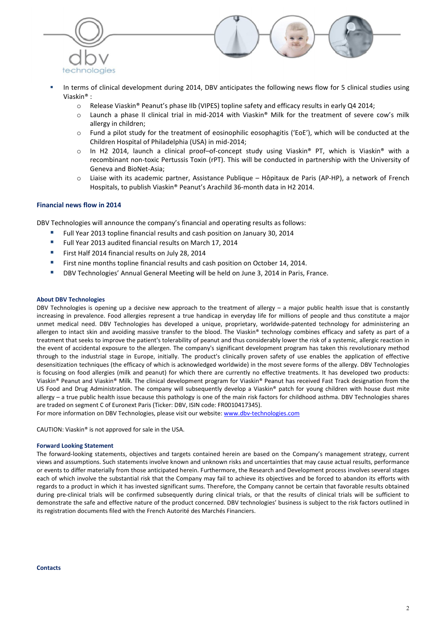



- In terms of clinical development during 2014, DBV anticipates the following news flow for 5 clinical studies using Viaskin® :
	- o Release Viaskin® Peanut's phase IIb (VIPES) topline safety and efficacy results in early Q4 2014;
	- o Launch a phase II clinical trial in mid-2014 with Viaskin® Milk for the treatment of severe cow's milk allergy in children;
	- o Fund a pilot study for the treatment of eosinophilic eosophagitis ('EoE'), which will be conducted at the Children Hospital of Philadelphia (USA) in mid-2014;
	- $\circ$  In H2 2014, launch a clinical proof–of-concept study using Viaskin® PT, which is Viaskin® with a recombinant non-toxic Pertussis Toxin (rPT). This will be conducted in partnership with the University of Geneva and BioNet-Asia;
	- o Liaise with its academic partner, Assistance Publique Hôpitaux de Paris (AP-HP), a network of French Hospitals, to publish Viaskin® Peanut's Arachild 36-month data in H2 2014.

### Financial news flow in 2014

DBV Technologies will announce the company's financial and operating results as follows:

- Full Year 2013 topline financial results and cash position on January 30, 2014
- **Full Year 2013 audited financial results on March 17, 2014**
- First Half 2014 financial results on July 28, 2014
- First nine months topline financial results and cash position on October 14, 2014.
- DBV Technologies' Annual General Meeting will be held on June 3, 2014 in Paris, France.

#### About DBV Technologies

DBV Technologies is opening up a decisive new approach to the treatment of allergy – a major public health issue that is constantly increasing in prevalence. Food allergies represent a true handicap in everyday life for millions of people and thus constitute a major unmet medical need. DBV Technologies has developed a unique, proprietary, worldwide-patented technology for administering an allergen to intact skin and avoiding massive transfer to the blood. The Viaskin® technology combines efficacy and safety as part of a treatment that seeks to improve the patient's tolerability of peanut and thus considerably lower the risk of a systemic, allergic reaction in the event of accidental exposure to the allergen. The company's significant development program has taken this revolutionary method through to the industrial stage in Europe, initially. The product's clinically proven safety of use enables the application of effective desensitization techniques (the efficacy of which is acknowledged worldwide) in the most severe forms of the allergy. DBV Technologies is focusing on food allergies (milk and peanut) for which there are currently no effective treatments. It has developed two products: Viaskin® Peanut and Viaskin® Milk. The clinical development program for Viaskin® Peanut has received Fast Track designation from the US Food and Drug Administration. The company will subsequently develop a Viaskin® patch for young children with house dust mite allergy – a true public health issue because this pathology is one of the main risk factors for childhood asthma. DBV Technologies shares are traded on segment C of Euronext Paris (Ticker: DBV, ISIN code: FR0010417345).

For more information on DBV Technologies, please visit our website: www.dbv-technologies.com

CAUTION: Viaskin® is not approved for sale in the USA.

#### Forward Looking Statement

The forward-looking statements, objectives and targets contained herein are based on the Company's management strategy, current views and assumptions. Such statements involve known and unknown risks and uncertainties that may cause actual results, performance or events to differ materially from those anticipated herein. Furthermore, the Research and Development process involves several stages each of which involve the substantial risk that the Company may fail to achieve its objectives and be forced to abandon its efforts with regards to a product in which it has invested significant sums. Therefore, the Company cannot be certain that favorable results obtained during pre-clinical trials will be confirmed subsequently during clinical trials, or that the results of clinical trials will be sufficient to demonstrate the safe and effective nature of the product concerned. DBV technologies' business is subject to the risk factors outlined in its registration documents filed with the French Autorité des Marchés Financiers.